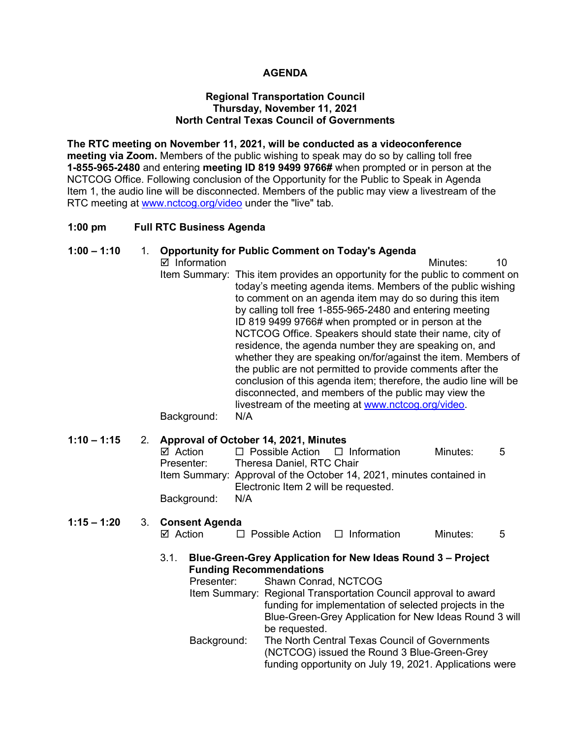# **AGENDA**

#### **Regional Transportation Council Thursday, November 11, 2021 North Central Texas Council of Governments**

**The RTC meeting on November 11, 2021, will be conducted as a videoconference meeting via Zoom.** Members of the public wishing to speak may do so by calling toll free **1-855-965-2480** and entering **meeting ID 819 9499 9766#** when prompted or in person at the NCTCOG Office. Following conclusion of the Opportunity for the Public to Speak in Agenda Item 1, the audio line will be disconnected. Members of the public may view a livestream of the RTC meeting at [www.nctcog.org/video](http://www.nctcog.org/video) under the "live" tab.

#### **1:00 pm Full RTC Business Agenda**

# **1:00 – 1:10** 1. **Opportunity for Public Comment on Today's Agenda**

■ Information 10 Item Summary: This item provides an opportunity for the public to comment on today's meeting agenda items. Members of the public wishing to comment on an agenda item may do so during this item by calling toll free 1-855-965-2480 and entering meeting ID 819 9499 9766# when prompted or in person at the NCTCOG Office. Speakers should state their name, city of residence, the agenda number they are speaking on, and whether they are speaking on/for/against the item. Members of the public are not permitted to provide comments after the conclusion of this agenda item; therefore, the audio line will be disconnected, and members of the public may view the livestream of the meeting at [www.nctcog.org/video.](http://www.nctcog.org/video)

Background: N/A

#### **1:10 – 1:15** 2. **Approval of October 14, 2021, Minutes**

| ⊠ Action    | $\Box$ Possible Action $\Box$ Information                            |  | Minutes: | -5 |
|-------------|----------------------------------------------------------------------|--|----------|----|
| Presenter:  | Theresa Daniel, RTC Chair                                            |  |          |    |
|             | Item Summary: Approval of the October 14, 2021, minutes contained in |  |          |    |
|             | Electronic Item 2 will be requested.                                 |  |          |    |
| Background: | N/A                                                                  |  |          |    |

# **1:15 – 1:20** 3. **Consent Agenda**  $\Box$  Possible Action  $\Box$  Information Minutes: 5

3.1. **Blue-Green-Grey Application for New Ideas Round 3 – Project Funding Recommendations**

| Presenter:  | Shawn Conrad, NCTCOG                                            |
|-------------|-----------------------------------------------------------------|
|             | Item Summary: Regional Transportation Council approval to award |
|             | funding for implementation of selected projects in the          |
|             | Blue-Green-Grey Application for New Ideas Round 3 will          |
|             | be requested.                                                   |
| Background: | The North Central Texas Council of Governments                  |
|             | (NCTCOG) issued the Round 3 Blue-Green-Grey                     |
|             | funding opportunity on July 19, 2021. Applications were         |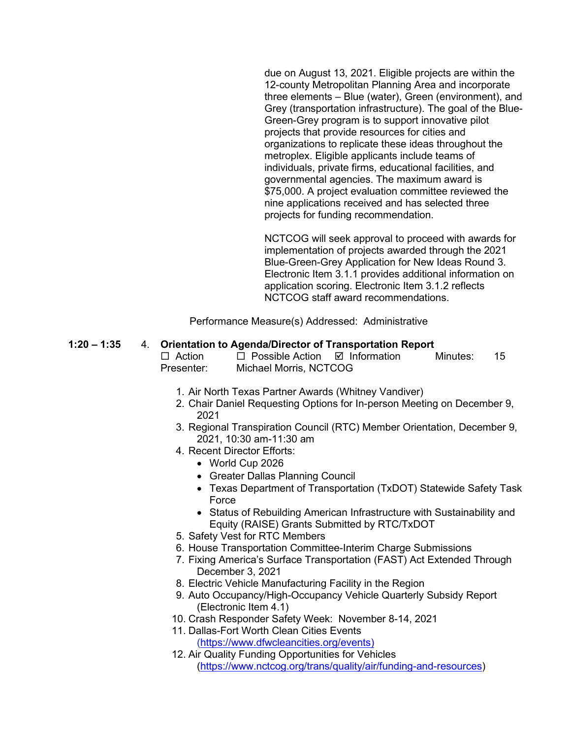due on August 13, 2021. Eligible projects are within the 12-county Metropolitan Planning Area and incorporate three elements – Blue (water), Green (environment), and Grey (transportation infrastructure). The goal of the Blue-Green-Grey program is to support innovative pilot projects that provide resources for cities and organizations to replicate these ideas throughout the metroplex. Eligible applicants include teams of individuals, private firms, educational facilities, and governmental agencies. The maximum award is \$75,000. A project evaluation committee reviewed the nine applications received and has selected three projects for funding recommendation.

NCTCOG will seek approval to proceed with awards for implementation of projects awarded through the 2021 Blue-Green-Grey Application for New Ideas Round 3. Electronic Item 3.1.1 provides additional information on application scoring. Electronic Item 3.1.2 reflects NCTCOG staff award recommendations.

Performance Measure(s) Addressed: Administrative

#### **1:20 – 1:35** 4. **Orientation to Agenda/Director of Transportation Report**

 $\Box$  Action  $\Box$  Possible Action  $\Box$  Information Minutes: 15 Presenter: Michael Morris, NCTCOG

- 1. Air North Texas Partner Awards (Whitney Vandiver)
- 2. Chair Daniel Requesting Options for In-person Meeting on December 9, 2021
- 3. Regional Transpiration Council (RTC) Member Orientation, December 9, 2021, 10:30 am-11:30 am
- 4. Recent Director Efforts:
	- World Cup 2026
	- Greater Dallas Planning Council
	- Texas Department of Transportation (TxDOT) Statewide Safety Task **Force**
	- Status of Rebuilding American Infrastructure with Sustainability and Equity (RAISE) Grants Submitted by RTC/TxDOT
- 5. Safety Vest for RTC Members
- 6. House Transportation Committee-Interim Charge Submissions
- 7. Fixing America's Surface Transportation (FAST) Act Extended Through December 3, 2021
- 8. Electric Vehicle Manufacturing Facility in the Region
- 9. Auto Occupancy/High-Occupancy Vehicle Quarterly Subsidy Report (Electronic Item 4.1)
- 10. Crash Responder Safety Week: November 8-14, 2021
- 11. Dallas-Fort Worth Clean Cities Events [\(https://www.dfwcleancities.org/events\)](https://www.dfwcleancities.org/events)
- 12. Air Quality Funding Opportunities for Vehicles [\(https://www.nctcog.org/trans/quality/air/funding-and-resources\)](https://www.nctcog.org/trans/quality/air/funding-and-resources)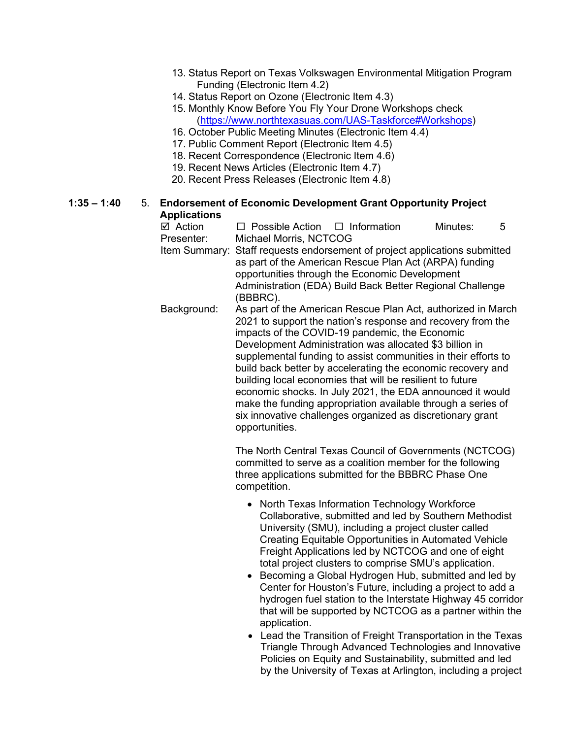- 13. Status Report on Texas Volkswagen Environmental Mitigation Program Funding (Electronic Item 4.2)
- 14. Status Report on Ozone (Electronic Item 4.3)
- 15. Monthly Know Before You Fly Your Drone Workshops check [\(https://www.northtexasuas.com/UAS-Taskforce#Workshops\)](https://www.northtexasuas.com/UAS-Taskforce#Workshops)
- 16. October Public Meeting Minutes (Electronic Item 4.4)
- 17. Public Comment Report (Electronic Item 4.5)
- 18. Recent Correspondence (Electronic Item 4.6)
- 19. Recent News Articles (Electronic Item 4.7)
- 20. Recent Press Releases (Electronic Item 4.8)

# **1:35 – 1:40** 5. **Endorsement of Economic Development Grant Opportunity Project Applications**<br>☑ Action

 $\Box$  Possible Action  $\Box$  Information Minutes: 5 Presenter: Michael Morris, NCTCOG Item Summary: Staff requests endorsement of project applications submitted as part of the American Rescue Plan Act (ARPA) funding opportunities through the Economic Development Administration (EDA) Build Back Better Regional Challenge (BBBRC). Background: As part of the American Rescue Plan Act, authorized in March 2021 to support the nation's response and recovery from the impacts of the COVID-19 pandemic, the Economic Development Administration was allocated \$3 billion in supplemental funding to assist communities in their efforts to build back better by accelerating the economic recovery and building local economies that will be resilient to future economic shocks. In July 2021, the EDA announced it would make the funding appropriation available through a series of six innovative challenges organized as discretionary grant opportunities.

> The North Central Texas Council of Governments (NCTCOG) committed to serve as a coalition member for the following three applications submitted for the BBBRC Phase One competition.

- North Texas Information Technology Workforce Collaborative, submitted and led by Southern Methodist University (SMU), including a project cluster called Creating Equitable Opportunities in Automated Vehicle Freight Applications led by NCTCOG and one of eight total project clusters to comprise SMU's application.
- Becoming a Global Hydrogen Hub, submitted and led by Center for Houston's Future, including a project to add a hydrogen fuel station to the Interstate Highway 45 corridor that will be supported by NCTCOG as a partner within the application.
- Lead the Transition of Freight Transportation in the Texas Triangle Through Advanced Technologies and Innovative Policies on Equity and Sustainability, submitted and led by the University of Texas at Arlington, including a project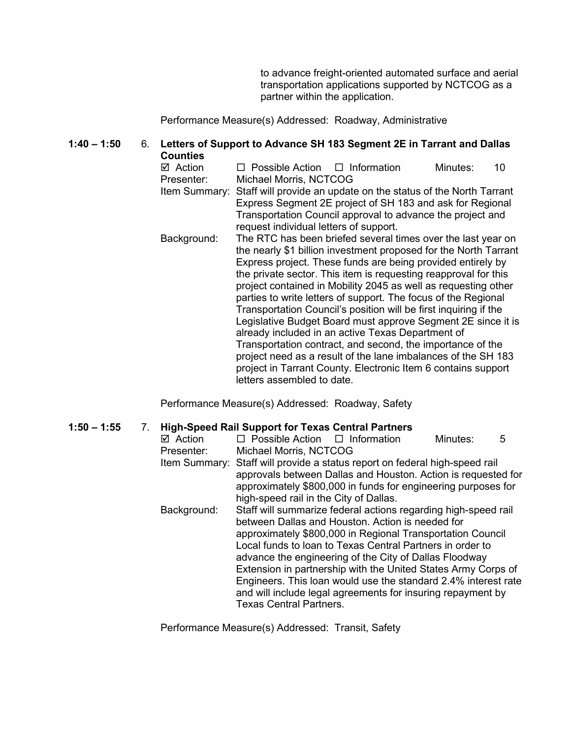to advance freight-oriented automated surface and aerial transportation applications supported by NCTCOG as a partner within the application.

Performance Measure(s) Addressed: Roadway, Administrative

#### **1:40 – 1:50** 6. **Letters of Support to Advance SH 183 Segment 2E in Tarrant and Dallas Counties**

 $\boxtimes$  Action  $\Box$  Possible Action  $\Box$  Information Minutes: 10 Presenter: Michael Morris, NCTCOG

- Item Summary: Staff will provide an update on the status of the North Tarrant Express Segment 2E project of SH 183 and ask for Regional Transportation Council approval to advance the project and request individual letters of support.
- Background: The RTC has been briefed several times over the last year on the nearly \$1 billion investment proposed for the North Tarrant Express project. These funds are being provided entirely by the private sector. This item is requesting reapproval for this project contained in Mobility 2045 as well as requesting other parties to write letters of support. The focus of the Regional Transportation Council's position will be first inquiring if the Legislative Budget Board must approve Segment 2E since it is already included in an active Texas Department of Transportation contract, and second, the importance of the project need as a result of the lane imbalances of the SH 183 project in Tarrant County. Electronic Item 6 contains support letters assembled to date.

Performance Measure(s) Addressed: Roadway, Safety

#### **1:50 – 1:55** 7. **High-Speed Rail Support for Texas Central Partners**

| $\boxtimes$ Action | $\Box$ Possible Action $\Box$ Information                                                                                                                                                                                                               |                                                                | Minutes: | 5 |
|--------------------|---------------------------------------------------------------------------------------------------------------------------------------------------------------------------------------------------------------------------------------------------------|----------------------------------------------------------------|----------|---|
| Presenter:         | Michael Morris, NCTCOG                                                                                                                                                                                                                                  |                                                                |          |   |
|                    | Item Summary: Staff will provide a status report on federal high-speed rail<br>approvals between Dallas and Houston. Action is requested for<br>approximately \$800,000 in funds for engineering purposes for<br>high-speed rail in the City of Dallas. |                                                                |          |   |
|                    |                                                                                                                                                                                                                                                         |                                                                |          |   |
|                    |                                                                                                                                                                                                                                                         |                                                                |          |   |
|                    |                                                                                                                                                                                                                                                         |                                                                |          |   |
| Background:        | Staff will summarize federal actions regarding high-speed rail                                                                                                                                                                                          |                                                                |          |   |
|                    | between Dallas and Houston. Action is needed for                                                                                                                                                                                                        |                                                                |          |   |
|                    | approximately \$800,000 in Regional Transportation Council                                                                                                                                                                                              |                                                                |          |   |
|                    | Local funds to loan to Texas Central Partners in order to                                                                                                                                                                                               |                                                                |          |   |
|                    |                                                                                                                                                                                                                                                         | advance the engineering of the City of Dallas Floodway         |          |   |
|                    |                                                                                                                                                                                                                                                         | Extension in partnership with the United States Army Corps of  |          |   |
|                    |                                                                                                                                                                                                                                                         | Engineers. This loan would use the standard 2.4% interest rate |          |   |
|                    |                                                                                                                                                                                                                                                         | and will include legal agreements for insuring repayment by    |          |   |
|                    | <b>Texas Central Partners.</b>                                                                                                                                                                                                                          |                                                                |          |   |
|                    |                                                                                                                                                                                                                                                         |                                                                |          |   |

Performance Measure(s) Addressed: Transit, Safety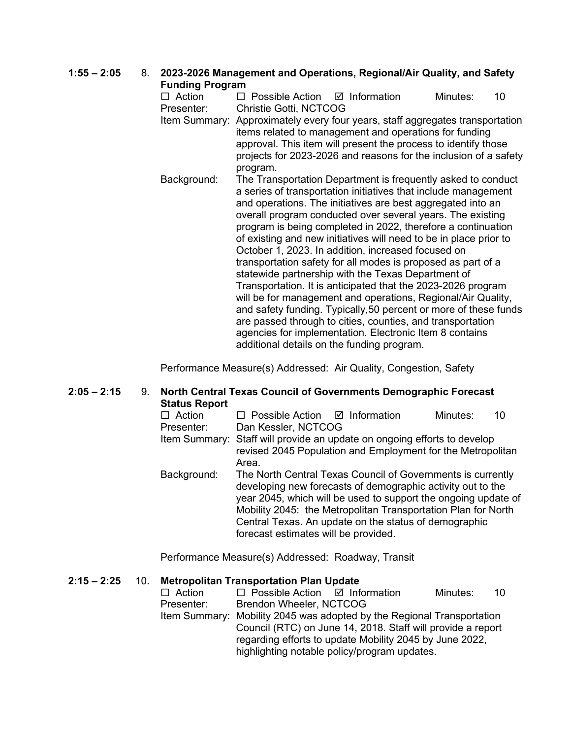# **1:55 – 2:05** 8. **2023-2026 Management and Operations, Regional/Air Quality, and Safety Funding Program**

 $\Box$  Action  $\Box$  Possible Action  $\Box$  Information Minutes: 10 Presenter: Christie Gotti, NCTCOG

- Item Summary: Approximately every four years, staff aggregates transportation items related to management and operations for funding approval. This item will present the process to identify those projects for 2023-2026 and reasons for the inclusion of a safety program.
- Background: The Transportation Department is frequently asked to conduct a series of transportation initiatives that include management and operations. The initiatives are best aggregated into an overall program conducted over several years. The existing program is being completed in 2022, therefore a continuation of existing and new initiatives will need to be in place prior to October 1, 2023. In addition, increased focused on transportation safety for all modes is proposed as part of a statewide partnership with the Texas Department of Transportation. It is anticipated that the 2023-2026 program will be for management and operations, Regional/Air Quality, and safety funding. Typically,50 percent or more of these funds are passed through to cities, counties, and transportation agencies for implementation. Electronic Item 8 contains additional details on the funding program.

Performance Measure(s) Addressed: Air Quality, Congestion, Safety

# **2:05 – 2:15** 9. **North Central Texas Council of Governments Demographic Forecast Status Report**

| $\Box$ Action | $\Box$ Possible Action $\Box$ Information                                |                                                                                                                                                                                              | Minutes: | 10 |
|---------------|--------------------------------------------------------------------------|----------------------------------------------------------------------------------------------------------------------------------------------------------------------------------------------|----------|----|
| Presenter:    | Dan Kessler, NCTCOG                                                      |                                                                                                                                                                                              |          |    |
|               | Item Summary: Staff will provide an update on ongoing efforts to develop |                                                                                                                                                                                              |          |    |
|               | Area.                                                                    | revised 2045 Population and Employment for the Metropolitan                                                                                                                                  |          |    |
| Background:   |                                                                          | The North Central Texas Council of Governments is currently<br>developing new forecasts of demographic activity out to the<br>year 2045, which will be used to support the oppoing update of |          |    |

year 2045, which will be used to support the ongoing update of Mobility 2045: the Metropolitan Transportation Plan for North Central Texas. An update on the status of demographic forecast estimates will be provided.

Performance Measure(s) Addressed: Roadway, Transit

# **2:15 – 2:25** 10. **Metropolitan Transportation Plan Update**

 $\Box$  Action  $\Box$  Possible Action  $\Box$  Information Minutes: 10 Presenter: Brendon Wheeler, NCTCOG Item Summary: Mobility 2045 was adopted by the Regional Transportation Council (RTC) on June 14, 2018. Staff will provide a report regarding efforts to update Mobility 2045 by June 2022, highlighting notable policy/program updates.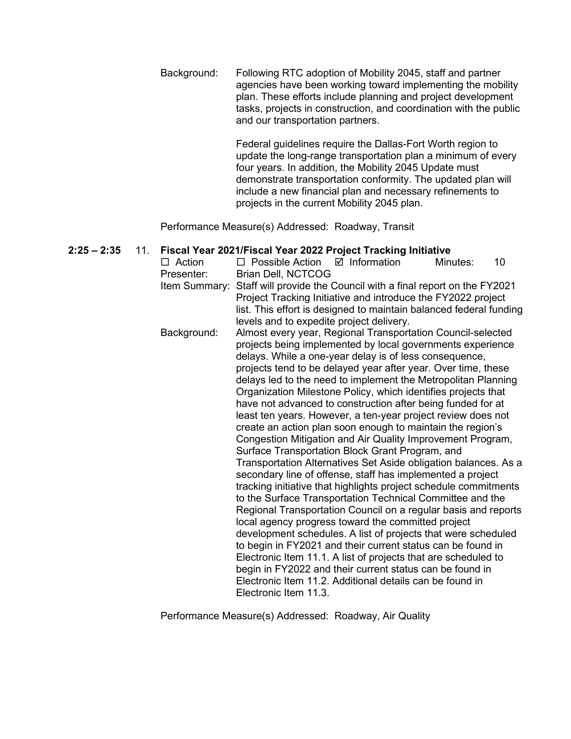Background: Following RTC adoption of Mobility 2045, staff and partner agencies have been working toward implementing the mobility plan. These efforts include planning and project development tasks, projects in construction, and coordination with the public and our transportation partners.

> Federal guidelines require the Dallas-Fort Worth region to update the long-range transportation plan a minimum of every four years. In addition, the Mobility 2045 Update must demonstrate transportation conformity. The updated plan will include a new financial plan and necessary refinements to projects in the current Mobility 2045 plan.

Performance Measure(s) Addressed: Roadway, Transit

# **2:25 – 2:35** 11. **Fiscal Year 2021/Fiscal Year 2022 Project Tracking Initiative**

 $\Box$  Action  $\Box$  Possible Action  $\Box$  Information Minutes: 10 Presenter: Brian Dell, NCTCOG Item Summary: Staff will provide the Council with a final report on the FY2021 Project Tracking Initiative and introduce the FY2022 project list. This effort is designed to maintain balanced federal funding levels and to expedite project delivery. Background: Almost every year, Regional Transportation Council-selected projects being implemented by local governments experience delays. While a one-year delay is of less consequence, projects tend to be delayed year after year. Over time, these delays led to the need to implement the Metropolitan Planning Organization Milestone Policy, which identifies projects that have not advanced to construction after being funded for at least ten years. However, a ten-year project review does not create an action plan soon enough to maintain the region's Congestion Mitigation and Air Quality Improvement Program, Surface Transportation Block Grant Program, and Transportation Alternatives Set Aside obligation balances. As a secondary line of offense, staff has implemented a project tracking initiative that highlights project schedule commitments to the Surface Transportation Technical Committee and the Regional Transportation Council on a regular basis and reports local agency progress toward the committed project development schedules. A list of projects that were scheduled to begin in FY2021 and their current status can be found in Electronic Item 11.1. A list of projects that are scheduled to begin in FY2022 and their current status can be found in Electronic Item 11.2. Additional details can be found in Electronic Item 11.3.

Performance Measure(s) Addressed: Roadway, Air Quality